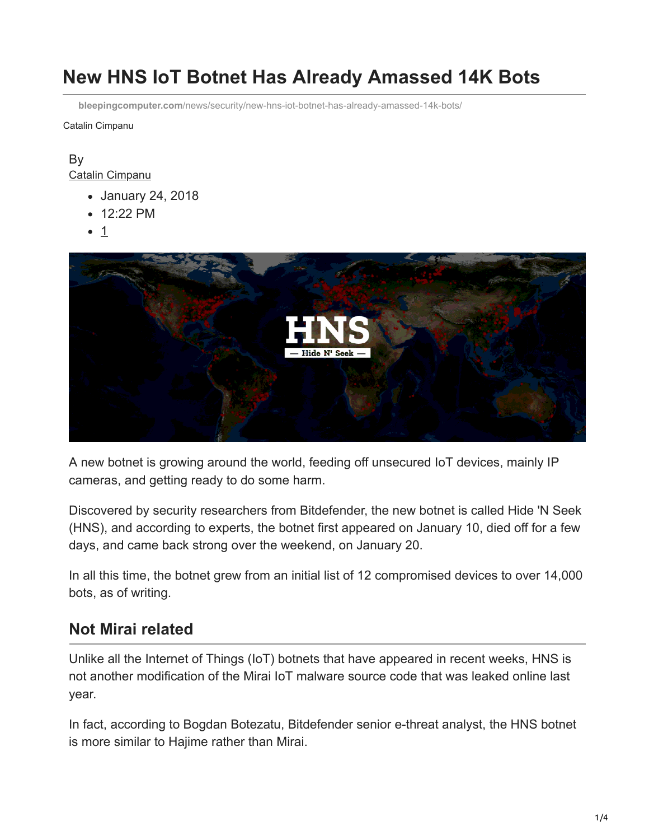# **New HNS IoT Botnet Has Already Amassed 14K Bots**

**bleepingcomputer.com**[/news/security/new-hns-iot-botnet-has-already-amassed-14k-bots/](https://www.bleepingcomputer.com/news/security/new-hns-iot-botnet-has-already-amassed-14k-bots/)

Catalin Cimpanu

#### By [Catalin Cimpanu](https://www.bleepingcomputer.com/author/catalin-cimpanu/)

- January 24, 2018
- 12:22 PM
- 1



A new botnet is growing around the world, feeding off unsecured IoT devices, mainly IP cameras, and getting ready to do some harm.

Discovered by security researchers from Bitdefender, the new botnet is called Hide 'N Seek (HNS), and according to experts, the botnet first appeared on January 10, died off for a few days, and came back strong over the weekend, on January 20.

In all this time, the botnet grew from an initial list of 12 compromised devices to over 14,000 bots, as of writing.

### **Not Mirai related**

Unlike all the Internet of Things (IoT) botnets that have appeared in recent weeks, HNS is not another modification of the Mirai IoT malware source code that was leaked online last year.

In fact, according to Bogdan Botezatu, Bitdefender senior e-threat analyst, the HNS botnet is more similar to Hajime rather than Mirai.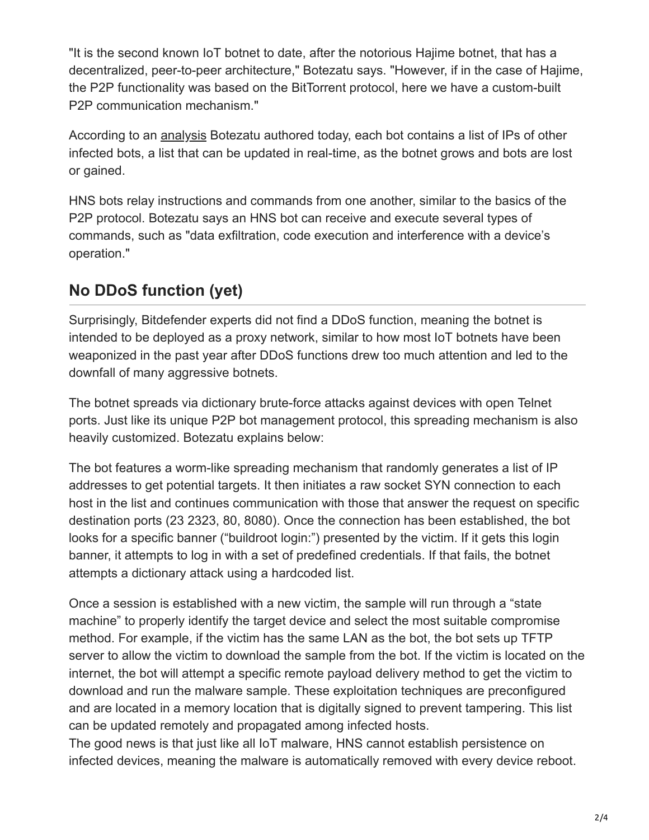"It is the second known IoT botnet to date, after the notorious Hajime botnet, that has a decentralized, peer-to-peer architecture," Botezatu says. "However, if in the case of Hajime, the P2P functionality was based on the BitTorrent protocol, here we have a custom-built P2P communication mechanism."

According to an [analysis](https://labs.bitdefender.com/2018/01/new-hide-n-seek-iot-botnet-using-custom-built-peer-to-peer-communication-spotted-in-the-wild/) Botezatu authored today, each bot contains a list of IPs of other infected bots, a list that can be updated in real-time, as the botnet grows and bots are lost or gained.

HNS bots relay instructions and commands from one another, similar to the basics of the P2P protocol. Botezatu says an HNS bot can receive and execute several types of commands, such as "data exfiltration, code execution and interference with a device's operation."

# **No DDoS function (yet)**

Surprisingly, Bitdefender experts did not find a DDoS function, meaning the botnet is intended to be deployed as a proxy network, similar to how most IoT botnets have been weaponized in the past year after DDoS functions drew too much attention and led to the downfall of many aggressive botnets.

The botnet spreads via dictionary brute-force attacks against devices with open Telnet ports. Just like its unique P2P bot management protocol, this spreading mechanism is also heavily customized. Botezatu explains below:

The bot features a worm-like spreading mechanism that randomly generates a list of IP addresses to get potential targets. It then initiates a raw socket SYN connection to each host in the list and continues communication with those that answer the request on specific destination ports (23 2323, 80, 8080). Once the connection has been established, the bot looks for a specific banner ("buildroot login:") presented by the victim. If it gets this login banner, it attempts to log in with a set of predefined credentials. If that fails, the botnet attempts a dictionary attack using a hardcoded list.

Once a session is established with a new victim, the sample will run through a "state machine" to properly identify the target device and select the most suitable compromise method. For example, if the victim has the same LAN as the bot, the bot sets up TFTP server to allow the victim to download the sample from the bot. If the victim is located on the internet, the bot will attempt a specific remote payload delivery method to get the victim to download and run the malware sample. These exploitation techniques are preconfigured and are located in a memory location that is digitally signed to prevent tampering. This list can be updated remotely and propagated among infected hosts.

The good news is that just like all IoT malware, HNS cannot establish persistence on infected devices, meaning the malware is automatically removed with every device reboot.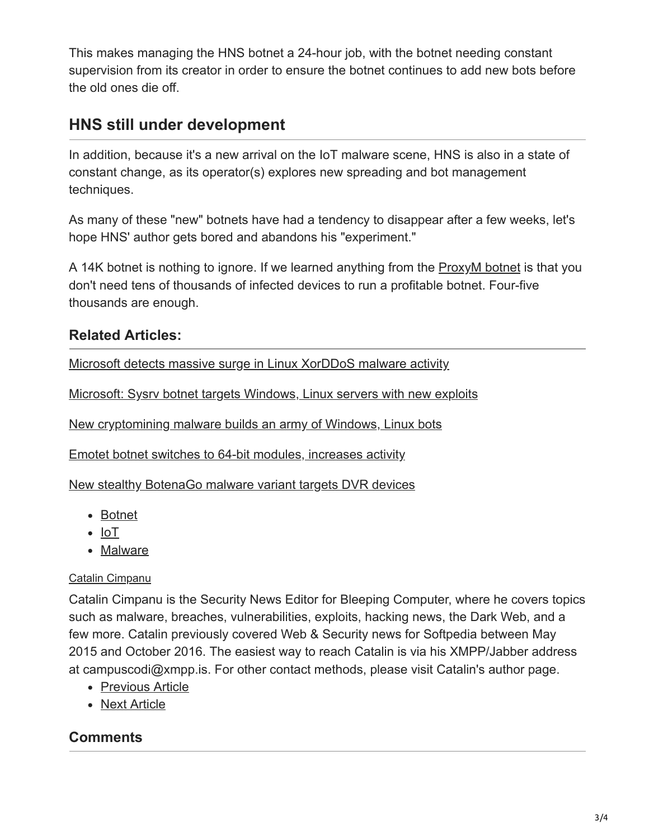This makes managing the HNS botnet a 24-hour job, with the botnet needing constant supervision from its creator in order to ensure the botnet continues to add new bots before the old ones die off.

## **HNS still under development**

In addition, because it's a new arrival on the IoT malware scene, HNS is also in a state of constant change, as its operator(s) explores new spreading and bot management techniques.

As many of these "new" botnets have had a tendency to disappear after a few weeks, let's hope HNS' author gets bored and abandons his "experiment."

A 14K botnet is nothing to ignore. If we learned anything from the **ProxyM** botnet is that you don't need tens of thousands of infected devices to run a profitable botnet. Four-five thousands are enough.

### **Related Articles:**

[Microsoft detects massive surge in Linux XorDDoS malware activity](https://www.bleepingcomputer.com/news/security/microsoft-detects-massive-surge-in-linux-xorddos-malware-activity/)

[Microsoft: Sysrv botnet targets Windows, Linux servers with new exploits](https://www.bleepingcomputer.com/news/security/microsoft-sysrv-botnet-targets-windows-linux-servers-with-new-exploits/)

[New cryptomining malware builds an army of Windows, Linux bots](https://www.bleepingcomputer.com/news/security/new-cryptomining-malware-builds-an-army-of-windows-linux-bots/)

[Emotet botnet switches to 64-bit modules, increases activity](https://www.bleepingcomputer.com/news/security/emotet-botnet-switches-to-64-bit-modules-increases-activity/)

[New stealthy BotenaGo malware variant targets DVR devices](https://www.bleepingcomputer.com/news/security/new-stealthy-botenago-malware-variant-targets-dvr-devices/)

- [Botnet](https://www.bleepingcomputer.com/tag/botnet/)
- $\bullet$  [IoT](https://www.bleepingcomputer.com/tag/iot/)
- [Malware](https://www.bleepingcomputer.com/tag/malware/)

#### [Catalin Cimpanu](https://www.bleepingcomputer.com/author/catalin-cimpanu/)

Catalin Cimpanu is the Security News Editor for Bleeping Computer, where he covers topics such as malware, breaches, vulnerabilities, exploits, hacking news, the Dark Web, and a few more. Catalin previously covered Web & Security news for Softpedia between May 2015 and October 2016. The easiest way to reach Catalin is via his XMPP/Jabber address at campuscodi@xmpp.is. For other contact methods, please visit Catalin's author page.

- [Previous Article](https://www.bleepingcomputer.com/news/security/software-framework-flaw-affects-apps-from-skype-signal-slack-twitch-others/)
- [Next Article](https://www.bleepingcomputer.com/news/microsoft/microsoft-will-soon-let-users-see-what-telemetry-windows-10-collects/)

### **Comments**